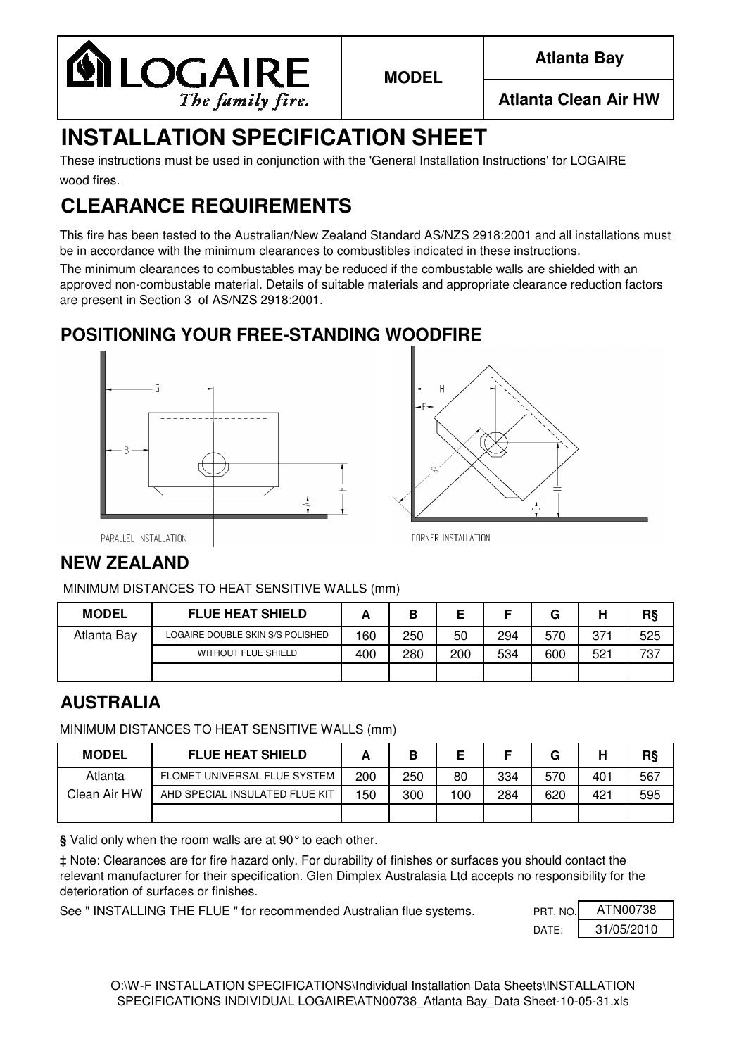

**MODEL**

**Atlanta Bay**

# **INSTALLATION SPECIFICATION SHEET**

wood fires. These instructions must be used in conjunction with the 'General Installation Instructions' for LOGAIRE

# **CLEARANCE REQUIREMENTS**

This fire has been tested to the Australian/New Zealand Standard AS/NZS 2918:2001 and all installations must be in accordance with the minimum clearances to combustibles indicated in these instructions.

The minimum clearances to combustables may be reduced if the combustable walls are shielded with an approved non-combustable material. Details of suitable materials and appropriate clearance reduction factors are present in Section 3 of AS/NZS 2918:2001.

## **POSITIONING YOUR FREE-STANDING WOODFIRE**





PARALLEL INSTALLATION

**CORNER INSTALLATION** 

### **NEW ZEALAND**

MINIMUM DISTANCES TO HEAT SENSITIVE WALLS (mm)

| <b>MODEL</b> | <b>FLUE HEAT SHIELD</b>          | -   | D   |     |     | G   | н   | R§  |
|--------------|----------------------------------|-----|-----|-----|-----|-----|-----|-----|
| Atlanta Bay  | LOGAIRE DOUBLE SKIN S/S POLISHED | 160 | 250 | 50  | 294 | 570 | 371 | 525 |
|              | <b>WITHOUT FLUE SHIELD</b>       | 400 | 280 | 200 | 534 | 600 | 521 | 737 |
|              |                                  |     |     |     |     |     |     |     |

#### **AUSTRALIA**

MINIMUM DISTANCES TO HEAT SENSITIVE WALLS (mm)

| <b>MODEL</b> | <b>FLUE HEAT SHIELD</b>        |     | в   |     |     | G   | н   | R§  |
|--------------|--------------------------------|-----|-----|-----|-----|-----|-----|-----|
| Atlanta      | FLOMET UNIVERSAL FLUE SYSTEM   | 200 | 250 | 80  | 334 | 570 | 401 | 567 |
| Clean Air HW | AHD SPECIAL INSULATED FLUE KIT | 150 | 300 | 100 | 284 | 620 | 421 | 595 |
|              |                                |     |     |     |     |     |     |     |

**§** Valid only when the room walls are at 90°to each other.

‡ Note: Clearances are for fire hazard only. For durability of finishes or surfaces you should contact the relevant manufacturer for their specification. Glen Dimplex Australasia Ltd accepts no responsibility for the deterioration of surfaces or finishes.

See " INSTALLING THE FLUE " for recommended Australian flue systems. PRT. NO.

DATE: 31/05/2010 ATN00738

O:\W-F INSTALLATION SPECIFICATIONS\Individual Installation Data Sheets\INSTALLATION SPECIFICATIONS INDIVIDUAL LOGAIRE\ATN00738\_Atlanta Bay\_Data Sheet-10-05-31.xls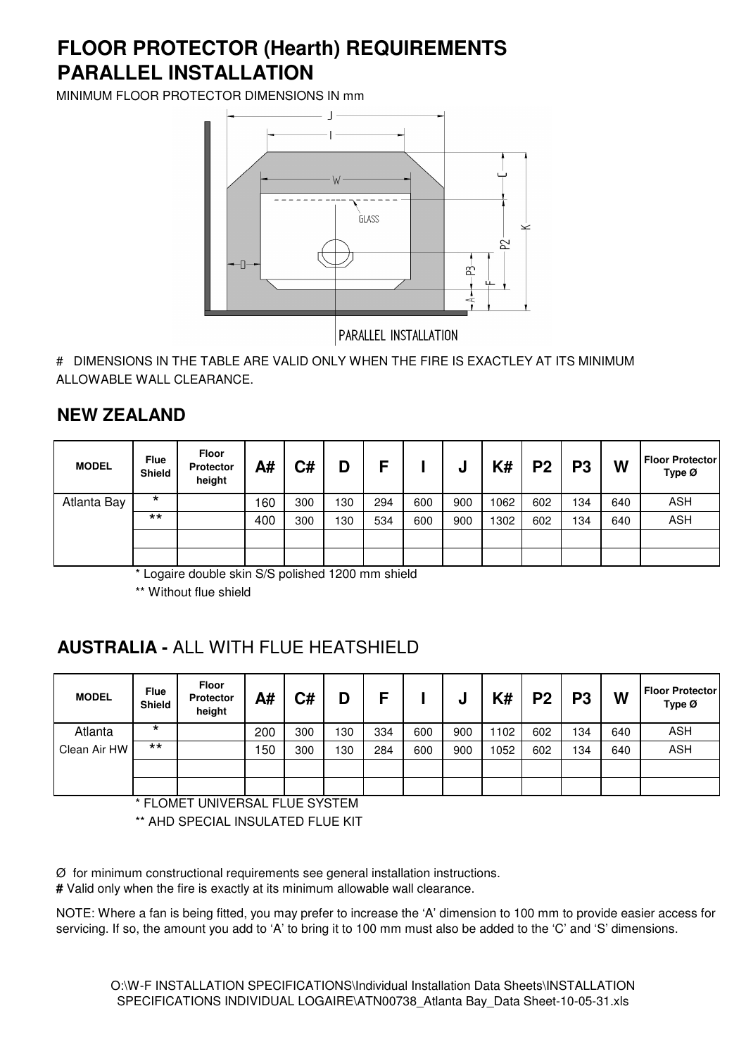## **PARALLEL INSTALLATION FLOOR PROTECTOR (Hearth) REQUIREMENTS**

MINIMUM FLOOR PROTECTOR DIMENSIONS IN mm



# DIMENSIONS IN THE TABLE ARE VALID ONLY WHEN THE FIRE IS EXACTLEY AT ITS MINIMUM ALLOWABLE WALL CLEARANCE.

#### **NEW ZEALAND**

| <b>MODEL</b> | <b>Flue</b><br>Shield | <b>Floor</b><br><b>Protector</b><br>height | A#  | C#  | D   | Е   |     | υ   | K#   | P <sub>2</sub> | P <sub>3</sub> | W   | <b>Floor Protector</b><br>Type Ø |
|--------------|-----------------------|--------------------------------------------|-----|-----|-----|-----|-----|-----|------|----------------|----------------|-----|----------------------------------|
| Atlanta Bay  | $\star$               |                                            | 160 | 300 | 130 | 294 | 600 | 900 | 1062 | 602            | 134            | 640 | <b>ASH</b>                       |
|              | $***$                 |                                            | 400 | 300 | 130 | 534 | 600 | 900 | 1302 | 602            | 134            | 640 | <b>ASH</b>                       |
|              |                       |                                            |     |     |     |     |     |     |      |                |                |     |                                  |
|              |                       |                                            |     |     |     |     |     |     |      |                |                |     |                                  |

\* Logaire double skin S/S polished 1200 mm shield

\*\* Without flue shield

## **AUSTRALIA -** ALL WITH FLUE HEATSHIELD

| <b>MODEL</b> | <b>Flue</b><br><b>Shield</b> | <b>Floor</b><br><b>Protector</b><br>height | A#  | C#  | D   | c   |     | υ   | K#   | P <sub>2</sub> | P <sub>3</sub> | W   | <b>Floor Protector</b><br>Type $\varnothing$ |
|--------------|------------------------------|--------------------------------------------|-----|-----|-----|-----|-----|-----|------|----------------|----------------|-----|----------------------------------------------|
| Atlanta      | $\star$                      |                                            | 200 | 300 | 130 | 334 | 600 | 900 | 1102 | 602            | 134            | 640 | <b>ASH</b>                                   |
| Clean Air HW | $***$                        |                                            | 150 | 300 | 130 | 284 | 600 | 900 | 1052 | 602            | 134            | 640 | <b>ASH</b>                                   |
|              |                              |                                            |     |     |     |     |     |     |      |                |                |     |                                              |
|              |                              |                                            |     |     |     |     |     |     |      |                |                |     |                                              |

\* FLOMET UNIVERSAL FLUE SYSTEM

\*\* AHD SPECIAL INSULATED FLUE KIT

Ø for minimum constructional requirements see general installation instructions.

**#** Valid only when the fire is exactly at its minimum allowable wall clearance.

NOTE: Where a fan is being fitted, you may prefer to increase the 'A' dimension to 100 mm to provide easier access for servicing. If so, the amount you add to 'A' to bring it to 100 mm must also be added to the 'C' and 'S' dimensions.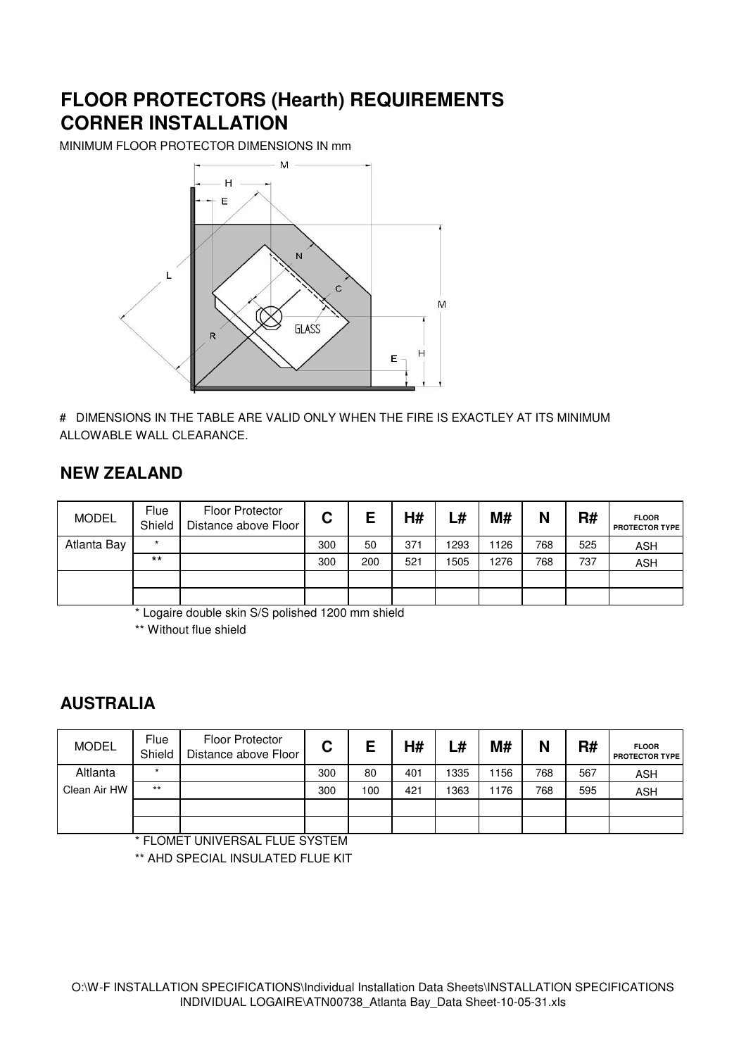### **FLOOR PROTECTORS (Hearth) REQUIREMENTS CORNER INSTALLATION**

MINIMUM FLOOR PROTECTOR DIMENSIONS IN mm



# DIMENSIONS IN THE TABLE ARE VALID ONLY WHEN THE FIRE IS EXACTLEY AT ITS MINIMUM ALLOWABLE WALL CLEARANCE.

#### **NEW ZEALAND**

| <b>MODEL</b> | <b>Flue</b><br>Shield | <b>Floor Protector</b><br>Distance above Floor | С   | Е   | H#  | L#   | M#   | N   | R#  | <b>FLOOR</b><br><b>PROTECTOR TYPE</b> |
|--------------|-----------------------|------------------------------------------------|-----|-----|-----|------|------|-----|-----|---------------------------------------|
| Atlanta Bay  | $\star$               |                                                | 300 | 50  | 371 | 1293 | 1126 | 768 | 525 | <b>ASH</b>                            |
|              | $***$                 |                                                | 300 | 200 | 521 | 1505 | 1276 | 768 | 737 | <b>ASH</b>                            |
|              |                       |                                                |     |     |     |      |      |     |     |                                       |
|              |                       |                                                |     |     |     |      |      |     |     |                                       |

\* Logaire double skin S/S polished 1200 mm shield

\*\* Without flue shield

#### **AUSTRALIA**

| <b>MODEL</b> | <b>Flue</b><br>Shield | Floor Protector<br>Distance above Floor | C   | Е   | H#  | L#   | M#   | N   | R#  | <b>FLOOR</b><br><b>PROTECTOR TYPE</b> |
|--------------|-----------------------|-----------------------------------------|-----|-----|-----|------|------|-----|-----|---------------------------------------|
| Altlanta     | $\star$               |                                         | 300 | 80  | 401 | 1335 | 1156 | 768 | 567 | <b>ASH</b>                            |
| Clean Air HW | $***$                 |                                         | 300 | 100 | 421 | 1363 | 1176 | 768 | 595 | <b>ASH</b>                            |
|              |                       |                                         |     |     |     |      |      |     |     |                                       |
|              |                       |                                         |     |     |     |      |      |     |     |                                       |

FLOMET UNIVERSAL FLUE SYSTEM

\*\* AHD SPECIAL INSULATED FLUE KIT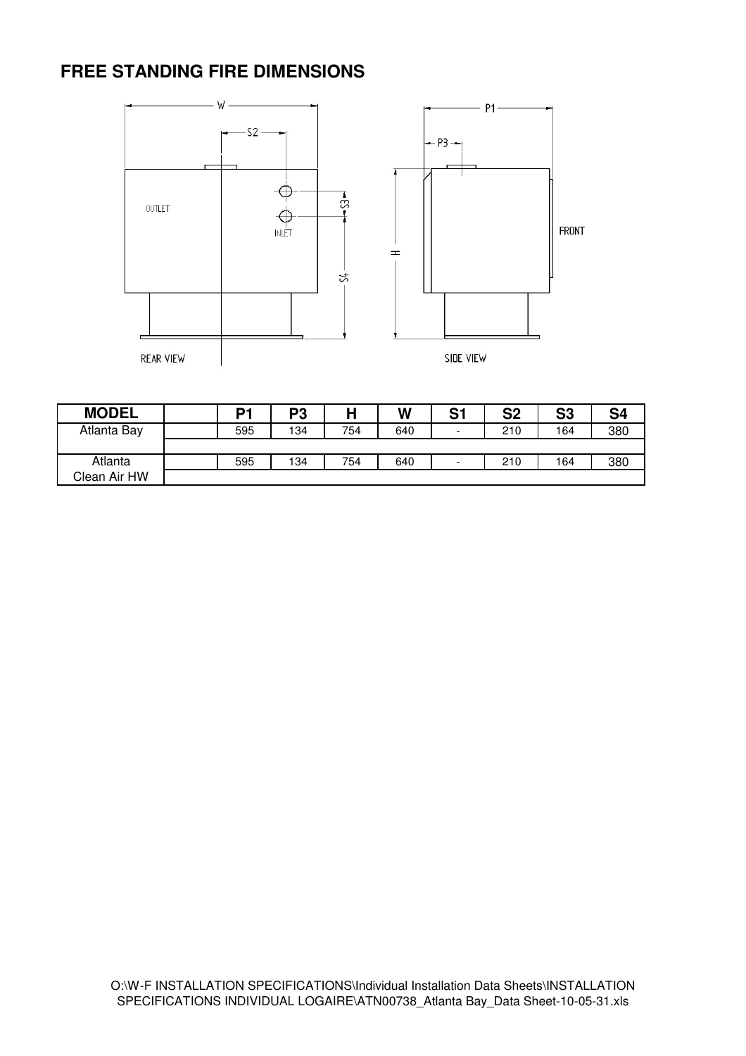### **FREE STANDING FIRE DIMENSIONS**



| <b>MODEL</b> | P <sub>1</sub> | P <sub>3</sub> | Н   | W   | S <sub>1</sub> | S <sub>2</sub> | S <sub>3</sub> | S <sub>4</sub> |
|--------------|----------------|----------------|-----|-----|----------------|----------------|----------------|----------------|
| Atlanta Bay  | 595            | 134            | 754 | 640 | -              | 210            | 164            | 380            |
|              |                |                |     |     |                |                |                |                |
| Atlanta      | 595            | 134            | 754 | 640 | -              | 210            | 164            | 380            |
| Clean Air HW |                |                |     |     |                |                |                |                |